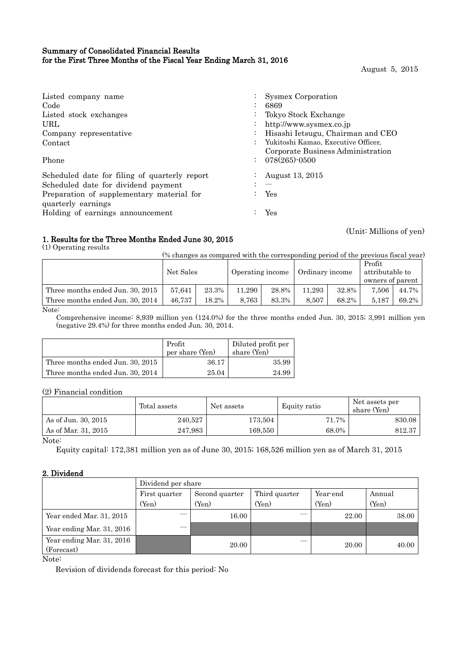## Summary of Consolidated Financial Results for the First Three Months of the Fiscal Year Ending March 31, 2016

August 5, 2015

(Unit: Millions of yen)

| Listed company name<br>Code<br>Listed stock exchanges<br>URL.<br>Company representative<br>Contact<br>Phone                                                                                 | Sysmex Corporation<br>6869<br>Tokyo Stock Exchange<br>http://www.sysmex.co.jp<br>Hisashi Ietsugu, Chairman and CEO<br>Yukitoshi Kamao, Executive Officer,<br>Corporate Business Administration<br>078(265)-0500 |
|---------------------------------------------------------------------------------------------------------------------------------------------------------------------------------------------|-----------------------------------------------------------------------------------------------------------------------------------------------------------------------------------------------------------------|
| Scheduled date for filing of quarterly report<br>Scheduled date for dividend payment<br>Preparation of supplementary material for<br>quarterly earnings<br>Holding of earnings announcement | August 13, 2015<br>$\qquad \qquad \overline{\qquad \qquad }$<br>Yes<br>Yes                                                                                                                                      |

# 1. Results for the Three Months Ended June 30, 2015

(1) Operating results

(% changes as compared with the corresponding period of the previous fiscal year)

|                                                              | Net Sales |       | Operating income |       | Ordinary income |       | Profit<br>attributable to |       |
|--------------------------------------------------------------|-----------|-------|------------------|-------|-----------------|-------|---------------------------|-------|
|                                                              |           |       |                  |       |                 |       | owners of parent          |       |
| Three months ended Jun. 30, 2015                             | 57.641    | 23.3% | 11.290           | 28.8% | 11.293          | 32.8% | 7.506                     | 44.7% |
| Three months ended Jun. 30, 2014<br>18.2%<br>8.763<br>46.737 |           | 83.3% | 8.507            | 68.2% | 5.187           | 69.2% |                           |       |
| $\mathbf{X}$ $\mathbf{Y}$ $\mathbf{Y}$ $\mathbf{Y}$          |           |       |                  |       |                 |       |                           |       |

Note:

Comprehensive income: 8,939 million yen (124.0%) for the three months ended Jun. 30, 2015; 3,991 million yen (negative 29.4%) for three months ended Jun. 30, 2014.

|                                  | Profit<br>per share (Yen) | Diluted profit per<br>share (Yen) |
|----------------------------------|---------------------------|-----------------------------------|
| Three months ended Jun. 30, 2015 | 36.17                     | 35.99                             |
| Three months ended Jun. 30, 2014 | 25.04                     | 24.99                             |

(2) Financial condition

|                     | Total assets | Net assets | Equity ratio | Net assets per<br>share (Yen) |
|---------------------|--------------|------------|--------------|-------------------------------|
| As of Jun. 30, 2015 | 240,527      | 173,504    | 71.7%        | 830.08                        |
| As of Mar. 31, 2015 | 247,983      | 169.550    | 68.0%        | 812.37                        |
| $\mathbf{X}$        |              |            |              |                               |

Note:

Equity capital: 172,381 million yen as of June 30, 2015; 168,526 million yen as of March 31, 2015

### 2. Dividend

|                                         | Dividend per share |                |               |          |        |  |
|-----------------------------------------|--------------------|----------------|---------------|----------|--------|--|
|                                         | First quarter      | Second quarter | Third quarter | Year-end | Annual |  |
|                                         | (Yen)              | (Yen)          | (Yen)         | (Yen)    | (Yen)  |  |
| Year ended Mar. 31, 2015                |                    | 16.00          |               | 22.00    | 38.00  |  |
| Year ending Mar. 31, 2016               |                    |                |               |          |        |  |
| Year ending Mar. 31, 2016<br>(Forecast) |                    | 20.00          |               | 20.00    | 40.00  |  |
| $\mathbf{X}$                            |                    |                |               |          |        |  |

Note:

Revision of dividends forecast for this period: No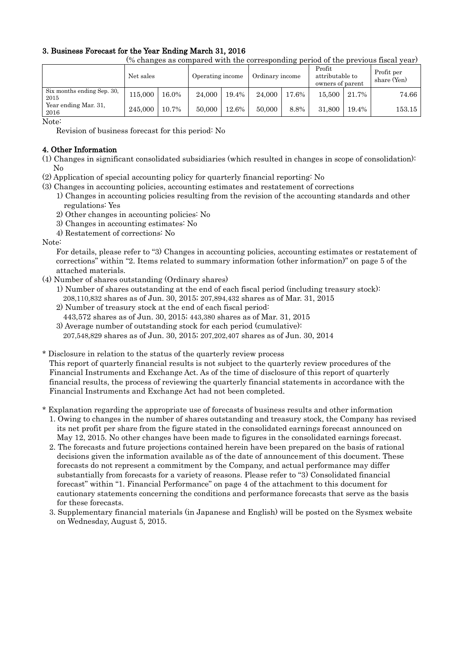# 3. Business Forecast for the Year Ending March 31, 2016

(% changes as compared with the corresponding period of the previous fiscal year)

|                                    | Net sales |       | Operating income |       | Ordinary income |       | Profit<br>attributable to<br>owners of parent |       | Profit per<br>share (Yen) |
|------------------------------------|-----------|-------|------------------|-------|-----------------|-------|-----------------------------------------------|-------|---------------------------|
| Six months ending Sep. 30,<br>2015 | 115,000   | 16.0% | 24,000           | 19.4% | 24,000          | 17.6% | 15.500                                        | 21.7% | 74.66                     |
| Year ending Mar. 31.<br>2016       | 245,000   | 10.7% | 50,000           | 12.6% | 50.000          | 8.8%  | 31,800                                        | 19.4% | $153.15\,$                |

Note:

Revision of business forecast for this period: No

## 4. Other Information

- (1) Changes in significant consolidated subsidiaries (which resulted in changes in scope of consolidation): No
- (2) Application of special accounting policy for quarterly financial reporting: No
- (3) Changes in accounting policies, accounting estimates and restatement of corrections
	- 1) Changes in accounting policies resulting from the revision of the accounting standards and other regulations: Yes
	- 2) Other changes in accounting policies: No
	- 3) Changes in accounting estimates: No
	- 4) Restatement of corrections: No

Note:

For details, please refer to "3) Changes in accounting policies, accounting estimates or restatement of corrections" within "2. Items related to summary information (other information)" on page 5 of the attached materials.

- (4) Number of shares outstanding (Ordinary shares)
	- 1) Number of shares outstanding at the end of each fiscal period (including treasury stock): 208,110,832 shares as of Jun. 30, 2015; 207,894,432 shares as of Mar. 31, 2015
	- 2) Number of treasury stock at the end of each fiscal period:
	- 443,572 shares as of Jun. 30, 2015; 443,380 shares as of Mar. 31, 2015
	- 3) Average number of outstanding stock for each period (cumulative): 207,548,829 shares as of Jun. 30, 2015; 207,202,407 shares as of Jun. 30, 2014
- \* Disclosure in relation to the status of the quarterly review process This report of quarterly financial results is not subject to the quarterly review procedures of the Financial Instruments and Exchange Act. As of the time of disclosure of this report of quarterly financial results, the process of reviewing the quarterly financial statements in accordance with the

Financial Instruments and Exchange Act had not been completed.

- \* Explanation regarding the appropriate use of forecasts of business results and other information
- 1. Owing to changes in the number of shares outstanding and treasury stock, the Company has revised its net profit per share from the figure stated in the consolidated earnings forecast announced on May 12, 2015. No other changes have been made to figures in the consolidated earnings forecast.
- 2. The forecasts and future projections contained herein have been prepared on the basis of rational decisions given the information available as of the date of announcement of this document. These forecasts do not represent a commitment by the Company, and actual performance may differ substantially from forecasts for a variety of reasons. Please refer to "3) Consolidated financial forecast" within "1. Financial Performance" on page 4 of the attachment to this document for cautionary statements concerning the conditions and performance forecasts that serve as the basis for these forecasts.
- 3. Supplementary financial materials (in Japanese and English) will be posted on the Sysmex website on Wednesday, August 5, 2015.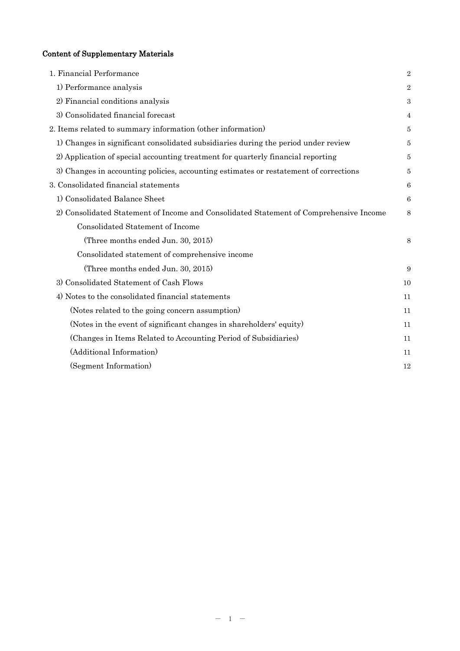# Content of Supplementary Materials

| 1. Financial Performance                                                               | $\overline{2}$ |
|----------------------------------------------------------------------------------------|----------------|
| 1) Performance analysis                                                                | $\overline{2}$ |
| 2) Financial conditions analysis                                                       | 3              |
| 3) Consolidated financial forecast                                                     | 4              |
| 2. Items related to summary information (other information)                            | 5              |
| 1) Changes in significant consolidated subsidiaries during the period under review     | 5              |
| 2) Application of special accounting treatment for quarterly financial reporting       | 5              |
| 3) Changes in accounting policies, accounting estimates or restatement of corrections  | 5              |
| 3. Consolidated financial statements                                                   | 6              |
| 1) Consolidated Balance Sheet                                                          | 6              |
| 2) Consolidated Statement of Income and Consolidated Statement of Comprehensive Income | 8              |
| Consolidated Statement of Income                                                       |                |
| (Three months ended Jun. 30, 2015)                                                     | 8              |
| Consolidated statement of comprehensive income                                         |                |
| (Three months ended Jun. 30, 2015)                                                     | 9              |
| 3) Consolidated Statement of Cash Flows                                                | 10             |
| 4) Notes to the consolidated financial statements                                      | 11             |
| (Notes related to the going concern assumption)                                        | 11             |
| (Notes in the event of significant changes in shareholders' equity)                    | 11             |
| (Changes in Items Related to Accounting Period of Subsidiaries)                        | 11             |
| (Additional Information)                                                               | 11             |
| (Segment Information)                                                                  | 12             |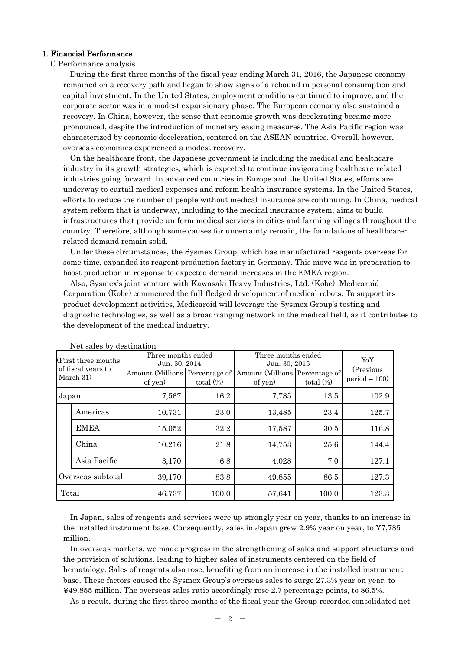#### 1. Financial Performance

### 1) Performance analysis

During the first three months of the fiscal year ending March 31, 2016, the Japanese economy remained on a recovery path and began to show signs of a rebound in personal consumption and capital investment. In the United States, employment conditions continued to improve, and the corporate sector was in a modest expansionary phase. The European economy also sustained a recovery. In China, however, the sense that economic growth was decelerating became more pronounced, despite the introduction of monetary easing measures. The Asia Pacific region was characterized by economic deceleration, centered on the ASEAN countries. Overall, however, overseas economies experienced a modest recovery.

On the healthcare front, the Japanese government is including the medical and healthcare industry in its growth strategies, which is expected to continue invigorating healthcare-related industries going forward. In advanced countries in Europe and the United States, efforts are underway to curtail medical expenses and reform health insurance systems. In the United States, efforts to reduce the number of people without medical insurance are continuing. In China, medical system reform that is underway, including to the medical insurance system, aims to build infrastructures that provide uniform medical services in cities and farming villages throughout the country. Therefore, although some causes for uncertainty remain, the foundations of healthcarerelated demand remain solid.

Under these circumstances, the Sysmex Group, which has manufactured reagents overseas for some time, expanded its reagent production factory in Germany. This move was in preparation to boost production in response to expected demand increases in the EMEA region.

Also, Sysmex's joint venture with Kawasaki Heavy Industries, Ltd. (Kobe), Medicaroid Corporation (Kobe) commenced the full-fledged development of medical robots. To support its product development activities, Medicaroid will leverage the Sysmex Group's testing and diagnostic technologies, as well as a broad-ranging network in the medical field, as it contributes to the development of the medical industry.

| (First three months)<br>of fiscal years to<br>March 31) |                        | Three months ended<br>Jun. 30, 2014<br>Amount (Millions)<br>of yen) | Percentage of<br>total $(\%)$ | Three months ended<br>Jun. 30, 2015<br>Amount (Millions Percentage of<br>total $(\%)$<br>of yen |       | YoY<br>(Previous)<br>$period = 100$ |
|---------------------------------------------------------|------------------------|---------------------------------------------------------------------|-------------------------------|-------------------------------------------------------------------------------------------------|-------|-------------------------------------|
| Japan                                                   | 7,567<br>16.2<br>7,785 |                                                                     | 13.5                          | 102.9                                                                                           |       |                                     |
|                                                         | Americas               | 10,731                                                              | 23.0                          | 13,485                                                                                          | 23.4  | 125.7                               |
|                                                         | <b>EMEA</b>            | 15,052                                                              | 32.2                          | 17,587                                                                                          | 30.5  | 116.8                               |
|                                                         | China                  | 10,216                                                              | 21.8                          | 14,753                                                                                          | 25.6  | 144.4                               |
|                                                         | Asia Pacific           | 3,170                                                               | 6.8                           | 4,028                                                                                           | 7.0   | 127.1                               |
| Overseas subtotal                                       |                        | 39,170                                                              | 83.8                          | 49,855                                                                                          | 86.5  | 127.3                               |
| Total                                                   |                        | 46,737                                                              | 100.0                         | 57,641                                                                                          | 100.0 | 123.3                               |

Net sales by destination

In Japan, sales of reagents and services were up strongly year on year, thanks to an increase in the installed instrument base. Consequently, sales in Japan grew 2.9% year on year, to ¥7,785 million.

In overseas markets, we made progress in the strengthening of sales and support structures and the provision of solutions, leading to higher sales of instruments centered on the field of hematology. Sales of reagents also rose, benefiting from an increase in the installed instrument base. These factors caused the Sysmex Group's overseas sales to surge 27.3% year on year, to ¥49,855 million. The overseas sales ratio accordingly rose 2.7 percentage points, to 86.5%.

As a result, during the first three months of the fiscal year the Group recorded consolidated net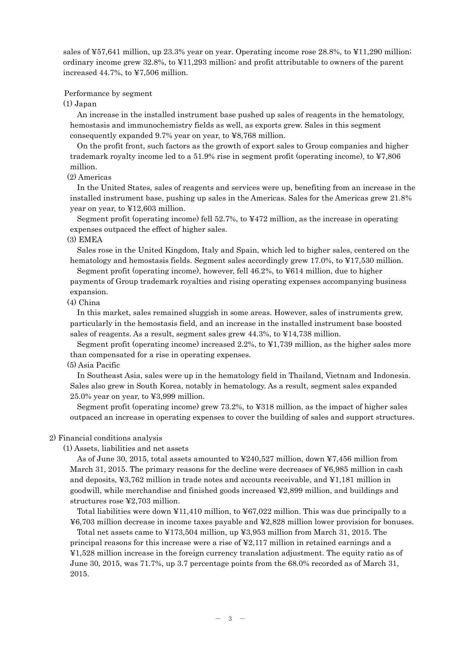sales of ¥57,641 million, up 23.3% year on year. Operating income rose 28.8%, to ¥11,290 million; ordinary income grew 32.8%, to ¥11,293 million; and profit attributable to owners of the parent increased 44.7%, to ¥7,506 million.

#### Performance by segment

#### (1) Japan

An increase in the installed instrument base pushed up sales of reagents in the hematology, hemostasis and immunochemistry fields as well, as exports grew. Sales in this segment consequently expanded 9.7% year on year, to ¥8,768 million.

On the profit front, such factors as the growth of export sales to Group companies and higher trademark royalty income led to a 51.9% rise in segment profit (operating income), to ¥7,806 million.

# (2) Americas

In the United States, sales of reagents and services were up, benefiting from an increase in the installed instrument base, pushing up sales in the Americas. Sales for the Americas grew 21.8% year on year, to ¥12,603 million.

Segment profit (operating income) fell 52.7%, to ¥472 million, as the increase in operating expenses outpaced the effect of higher sales.

#### (3) EMEA

Sales rose in the United Kingdom, Italy and Spain, which led to higher sales, centered on the hematology and hemostasis fields. Segment sales accordingly grew 17.0%, to ¥17,530 million.

Segment profit (operating income), however, fell 46.2%, to ¥614 million, due to higher payments of Group trademark royalties and rising operating expenses accompanying business expansion.

## (4) China

In this market, sales remained sluggish in some areas. However, sales of instruments grew, particularly in the hemostasis field, and an increase in the installed instrument base boosted sales of reagents. As a result, segment sales grew 44.3%, to ¥14,738 million.

Segment profit (operating income) increased 2.2%, to ¥1,739 million, as the higher sales more than compensated for a rise in operating expenses.

(5) Asia Pacific

In Southeast Asia, sales were up in the hematology field in Thailand, Vietnam and Indonesia. Sales also grew in South Korea, notably in hematology. As a result, segment sales expanded 25.0% year on year, to ¥3,999 million.

Segment profit (operating income) grew 73.2%, to ¥318 million, as the impact of higher sales outpaced an increase in operating expenses to cover the building of sales and support structures.

#### 2) Financial conditions analysis

(1) Assets, liabilities and net assets

As of June 30, 2015, total assets amounted to ¥240,527 million, down ¥7,456 million from March 31, 2015. The primary reasons for the decline were decreases of ¥6,985 million in cash and deposits, ¥3,762 million in trade notes and accounts receivable, and ¥1,181 million in goodwill, while merchandise and finished goods increased ¥2,899 million, and buildings and structures rose ¥2,703 million.

Total liabilities were down ¥11,410 million, to ¥67,022 million. This was due principally to a ¥6,703 million decrease in income taxes payable and ¥2,828 million lower provision for bonuses.

Total net assets came to ¥173,504 million, up ¥3,953 million from March 31, 2015. The principal reasons for this increase were a rise of  $\mathcal{L}2,117$  million in retained earnings and a ¥1,528 million increase in the foreign currency translation adjustment. The equity ratio as of June 30, 2015, was 71.7%, up 3.7 percentage points from the 68.0% recorded as of March 31, 2015.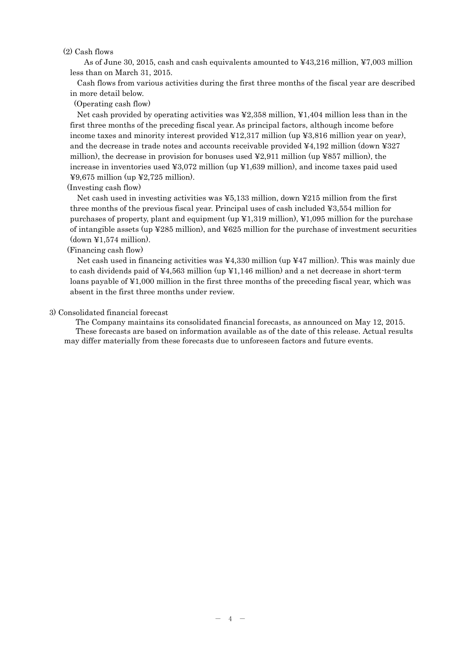#### (2) Cash flows

As of June 30, 2015, cash and cash equivalents amounted to ¥43,216 million, ¥7,003 million less than on March 31, 2015.

Cash flows from various activities during the first three months of the fiscal year are described in more detail below.

#### (Operating cash flow)

Net cash provided by operating activities was ¥2,358 million, ¥1,404 million less than in the first three months of the preceding fiscal year. As principal factors, although income before income taxes and minority interest provided  $\text{\textsterling}12,317$  million (up  $\text{\textsterling}3,816$  million year on year), and the decrease in trade notes and accounts receivable provided  $\textless 4,192$  million (down  $\textless 237$ million), the decrease in provision for bonuses used  $\yen$ 2,911 million (up  $\yen$ 857 million), the increase in inventories used  $\text{\textless}3,072$  million (up  $\text{\textless}1,639$  million), and income taxes paid used  $\text{\textsterling}9,675$  million (up  $\text{\textsterling}2,725$  million).

#### (Investing cash flow)

Net cash used in investing activities was ¥5,133 million, down ¥215 million from the first three months of the previous fiscal year. Principal uses of cash included ¥3,554 million for purchases of property, plant and equipment (up  $\angle 1.319$  million),  $\angle 1.095$  million for the purchase of intangible assets (up  $\text{\textless} 285$  million), and  $\text{\textless} 625$  million for the purchase of investment securities  $(down \Psi1,574 million)$ .

### (Financing cash flow)

Net cash used in financing activities was ¥4,330 million (up ¥47 million). This was mainly due to cash dividends paid of  $\frac{1}{4}$ ,  $\frac{1}{6}$  million (up  $\frac{1}{4}$ ,  $\frac{1}{6}$  million) and a net decrease in short-term loans payable of ¥1,000 million in the first three months of the preceding fiscal year, which was absent in the first three months under review.

#### 3) Consolidated financial forecast

The Company maintains its consolidated financial forecasts, as announced on May 12, 2015. These forecasts are based on information available as of the date of this release. Actual results may differ materially from these forecasts due to unforeseen factors and future events.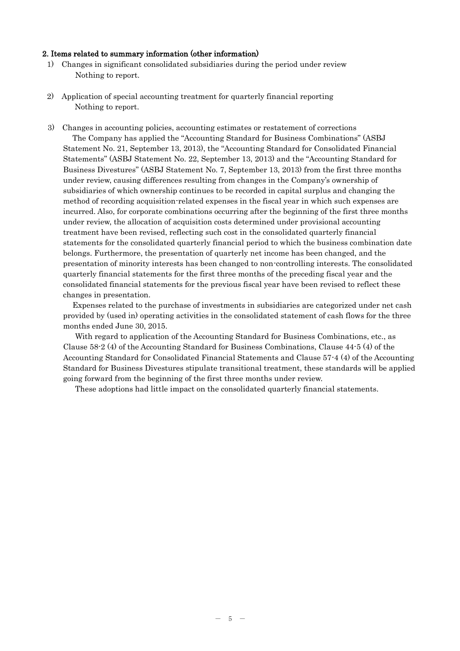#### 2. Items related to summary information (other information)

- 1) Changes in significant consolidated subsidiaries during the period under review Nothing to report.
- 2) Application of special accounting treatment for quarterly financial reporting Nothing to report.
- 3) Changes in accounting policies, accounting estimates or restatement of corrections The Company has applied the "Accounting Standard for Business Combinations" (ASBJ Statement No. 21, September 13, 2013), the "Accounting Standard for Consolidated Financial Statements" (ASBJ Statement No. 22, September 13, 2013) and the "Accounting Standard for Business Divestures" (ASBJ Statement No. 7, September 13, 2013) from the first three months under review, causing differences resulting from changes in the Company's ownership of subsidiaries of which ownership continues to be recorded in capital surplus and changing the method of recording acquisition-related expenses in the fiscal year in which such expenses are incurred. Also, for corporate combinations occurring after the beginning of the first three months under review, the allocation of acquisition costs determined under provisional accounting treatment have been revised, reflecting such cost in the consolidated quarterly financial statements for the consolidated quarterly financial period to which the business combination date belongs. Furthermore, the presentation of quarterly net income has been changed, and the presentation of minority interests has been changed to non-controlling interests. The consolidated quarterly financial statements for the first three months of the preceding fiscal year and the consolidated financial statements for the previous fiscal year have been revised to reflect these changes in presentation.

Expenses related to the purchase of investments in subsidiaries are categorized under net cash provided by (used in) operating activities in the consolidated statement of cash flows for the three months ended June 30, 2015.

With regard to application of the Accounting Standard for Business Combinations, etc., as Clause 58-2 (4) of the Accounting Standard for Business Combinations, Clause 44-5 (4) of the Accounting Standard for Consolidated Financial Statements and Clause 57-4 (4) of the Accounting Standard for Business Divestures stipulate transitional treatment, these standards will be applied going forward from the beginning of the first three months under review.

These adoptions had little impact on the consolidated quarterly financial statements.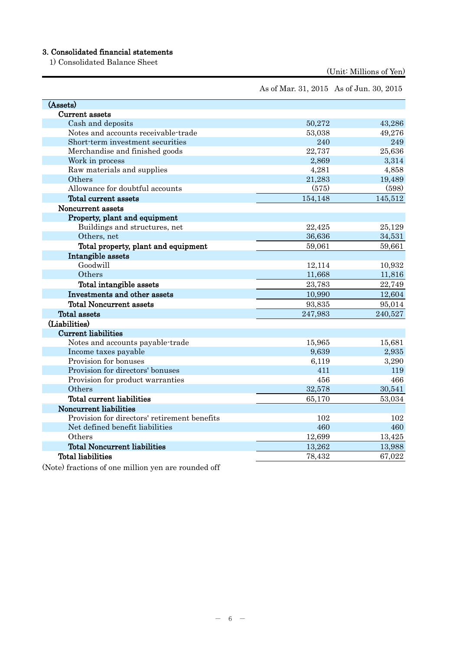# 3. Consolidated financial statements

1) Consolidated Balance Sheet

(Unit: Millions of Yen)

As of Mar. 31, 2015 As of Jun. 30, 2015

| (Assets)                                     |         |         |
|----------------------------------------------|---------|---------|
| Current assets                               |         |         |
| Cash and deposits                            | 50,272  | 43,286  |
| Notes and accounts receivable-trade          | 53,038  | 49,276  |
| Short-term investment securities             | 240     | 249     |
| Merchandise and finished goods               | 22,737  | 25,636  |
| Work in process                              | 2,869   | 3,314   |
| Raw materials and supplies                   | 4,281   | 4,858   |
| Others                                       | 21,283  | 19,489  |
| Allowance for doubtful accounts              | (575)   | (598)   |
| Total current assets                         | 154,148 | 145,512 |
| Noncurrent assets                            |         |         |
| Property, plant and equipment                |         |         |
| Buildings and structures, net                | 22,425  | 25,129  |
| Others, net                                  | 36,636  | 34,531  |
| Total property, plant and equipment          | 59,061  | 59,661  |
| Intangible assets                            |         |         |
| Goodwill                                     | 12,114  | 10,932  |
| Others                                       | 11,668  | 11,816  |
| Total intangible assets                      | 23,783  | 22,749  |
| Investments and other assets                 | 10,990  | 12,604  |
| <b>Total Noncurrent assets</b>               | 93,835  | 95,014  |
| <b>Total assets</b>                          | 247,983 | 240,527 |
| (Liabilities)                                |         |         |
| <b>Current liabilities</b>                   |         |         |
| Notes and accounts payable-trade             | 15,965  | 15,681  |
| Income taxes payable                         | 9,639   | 2,935   |
| Provision for bonuses                        | 6,119   | 3,290   |
| Provision for directors' bonuses             | 411     | 119     |
| Provision for product warranties             | 456     | 466     |
| Others                                       | 32,578  | 30,541  |
| <b>Total current liabilities</b>             | 65,170  | 53,034  |
| Noncurrent liabilities                       |         |         |
| Provision for directors' retirement benefits | 102     | 102     |
| Net defined benefit liabilities              | 460     | 460     |
| Others                                       | 12,699  | 13,425  |
| <b>Total Noncurrent liabilities</b>          | 13,262  | 13,988  |
| <b>Total liabilities</b>                     | 78,432  | 67,022  |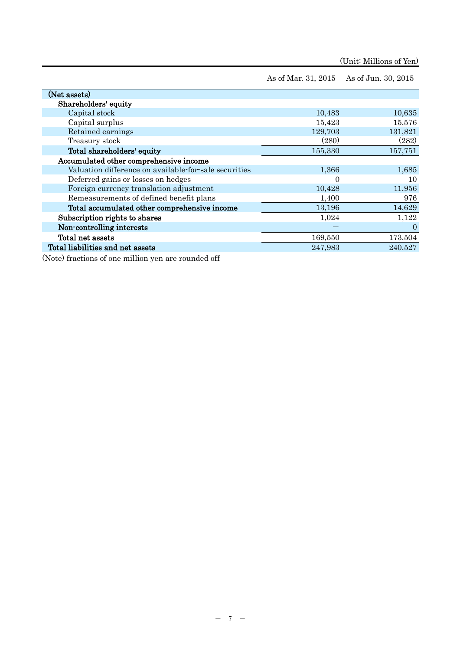(Unit: Millions of Yen)

As of Mar. 31, 2015 As of Jun. 30, 2015

| (Net assets)                                          |          |          |
|-------------------------------------------------------|----------|----------|
| Shareholders' equity                                  |          |          |
| Capital stock                                         | 10,483   | 10,635   |
| Capital surplus                                       | 15,423   | 15,576   |
| Retained earnings                                     | 129,703  | 131,821  |
| Treasury stock                                        | (280)    | (282)    |
| Total shareholders' equity                            | 155,330  | 157,751  |
| Accumulated other comprehensive income                |          |          |
| Valuation difference on available for sale securities | 1,366    | 1,685    |
| Deferred gains or losses on hedges                    | $\theta$ | 10       |
| Foreign currency translation adjustment               | 10,428   | 11,956   |
| Remeasurements of defined benefit plans               | 1,400    | 976      |
| Total accumulated other comprehensive income          | 13,196   | 14,629   |
| Subscription rights to shares                         | 1,024    | 1,122    |
| Non-controlling interests                             |          | $\theta$ |
| Total net assets                                      | 169,550  | 173,504  |
| Total liabilities and net assets                      | 247,983  | 240,527  |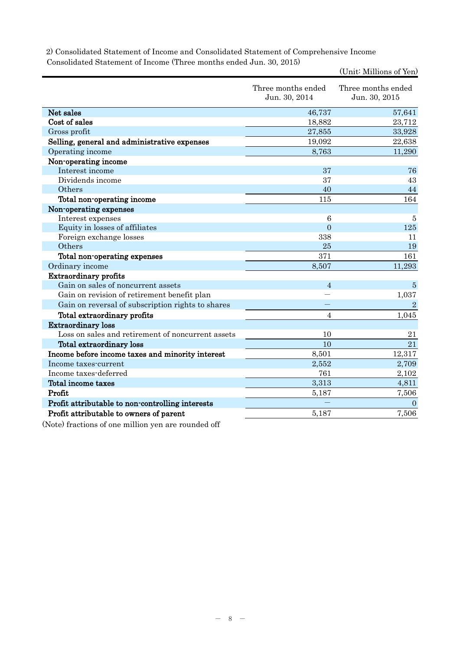|                                                   | Three months ended<br>Jun. 30, 2014 | Three months ended<br>Jun. 30, 2015 |
|---------------------------------------------------|-------------------------------------|-------------------------------------|
| Net sales                                         | 46,737                              | 57,641                              |
| Cost of sales                                     | 18,882                              | 23,712                              |
| Gross profit                                      | 27,855                              | 33,928                              |
| Selling, general and administrative expenses      | 19,092                              | 22,638                              |
| Operating income                                  | 8,763                               | 11,290                              |
| Non-operating income                              |                                     |                                     |
| Interest income                                   | 37                                  | 76                                  |
| Dividends income                                  | 37                                  | 43                                  |
| Others                                            | 40                                  | 44                                  |
| Total non-operating income                        | 115                                 | 164                                 |
| Non-operating expenses                            |                                     |                                     |
| Interest expenses                                 | 6                                   | 5                                   |
| Equity in losses of affiliates                    | $\Omega$                            | 125                                 |
| Foreign exchange losses                           | 338                                 | 11                                  |
| Others                                            | 25                                  | 19                                  |
| Total non-operating expenses                      | 371                                 | 161                                 |
| Ordinary income                                   | 8,507                               | 11,293                              |
| <b>Extraordinary profits</b>                      |                                     |                                     |
| Gain on sales of noncurrent assets                | $\overline{4}$                      | $\overline{5}$                      |
| Gain on revision of retirement benefit plan       |                                     | 1,037                               |
| Gain on reversal of subscription rights to shares |                                     | $\overline{2}$                      |
| Total extraordinary profits                       | $\overline{4}$                      | 1,045                               |
| <b>Extraordinary loss</b>                         |                                     |                                     |
| Loss on sales and retirement of noncurrent assets | 10                                  | 21                                  |
| Total extraordinary loss                          | 10                                  | 21                                  |
| Income before income taxes and minority interest  | 8,501                               | 12,317                              |
| Income taxes-current                              | 2,552                               | 2,709                               |
| Income taxes-deferred                             | 761                                 | 2,102                               |
| Total income taxes                                | 3,313                               | 4,811                               |
| Profit                                            | 5,187                               | 7,506                               |
| Profit attributable to non-controlling interests  |                                     | $\overline{0}$                      |
| Profit attributable to owners of parent           | 5,187                               | 7,506                               |

2) Consolidated Statement of Income and Consolidated Statement of Comprehensive Income Consolidated Statement of Income (Three months ended Jun. 30, 2015)

(Unit: Millions of Yen)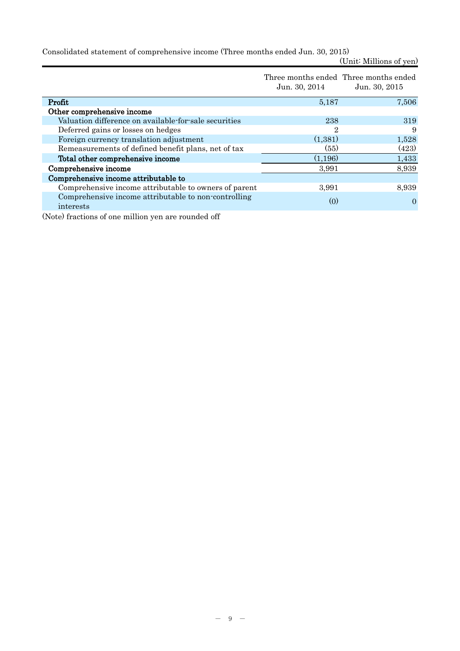Consolidated statement of comprehensive income (Three months ended Jun. 30, 2015)

(Unit: Millions of yen)

|                                                                   | Jun. 30, 2014 | Three months ended Three months ended<br>Jun. 30, 2015 |
|-------------------------------------------------------------------|---------------|--------------------------------------------------------|
| Profit                                                            | 5,187         | 7,506                                                  |
| Other comprehensive income                                        |               |                                                        |
| Valuation difference on available-for-sale securities             | 238           | 319                                                    |
| Deferred gains or losses on hedges                                | 2             | 9                                                      |
| Foreign currency translation adjustment                           | (1,381)       | 1,528                                                  |
| Remeasurements of defined benefit plans, net of tax               | (55)          | (423)                                                  |
| Total other comprehensive income                                  | (1,196)       | 1,433                                                  |
| Comprehensive income                                              | 3,991         | 8,939                                                  |
| Comprehensive income attributable to                              |               |                                                        |
| Comprehensive income attributable to owners of parent             | 3,991         | 8,939                                                  |
| Comprehensive income attributable to non-controlling<br>interests | (0)           | $\theta$                                               |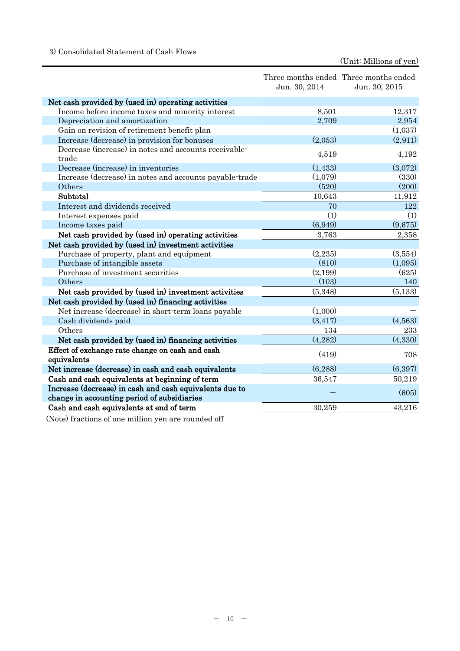# 3) Consolidated Statement of Cash Flows

|                                                                                                        | Jun. 30, 2014 | Three months ended Three months ended<br>Jun. 30, 2015 |
|--------------------------------------------------------------------------------------------------------|---------------|--------------------------------------------------------|
| Net cash provided by (used in) operating activities                                                    |               |                                                        |
| Income before income taxes and minority interest                                                       | 8,501         | 12,317                                                 |
| Depreciation and amortization                                                                          | 2,709         | 2,954                                                  |
| Gain on revision of retirement benefit plan                                                            |               | (1,037)                                                |
| Increase (decrease) in provision for bonuses                                                           | (2,053)       | (2,911)                                                |
| Decrease (increase) in notes and accounts receivable-<br>trade                                         | 4,519         | 4,192                                                  |
| Decrease (increase) in inventories                                                                     | (1,433)       | (3,072)                                                |
| Increase (decrease) in notes and accounts payable-trade                                                | (1,079)       | (330)                                                  |
| Others                                                                                                 | (520)         | (200)                                                  |
| Subtotal                                                                                               | 10,643        | 11,912                                                 |
| Interest and dividends received                                                                        | 70            | 122                                                    |
| Interest expenses paid                                                                                 | (1)           | (1)                                                    |
| Income taxes paid                                                                                      | (6,949)       | (9,675)                                                |
| Net cash provided by (used in) operating activities                                                    | 3,763         | 2,358                                                  |
| Net cash provided by (used in) investment activities                                                   |               |                                                        |
| Purchase of property, plant and equipment                                                              | (2,235)       | (3,554)                                                |
| Purchase of intangible assets                                                                          | (810)         | (1,095)                                                |
| Purchase of investment securities                                                                      | (2,199)       | (625)                                                  |
| Others                                                                                                 | (103)         | 140                                                    |
| Net cash provided by (used in) investment activities                                                   | (5,348)       | (5,133)                                                |
| Net cash provided by (used in) financing activities                                                    |               |                                                        |
| Net increase (decrease) in short-term loans payable                                                    | (1,000)       |                                                        |
| Cash dividends paid                                                                                    | (3, 417)      | (4,563)                                                |
| Others                                                                                                 | 134           | 233                                                    |
| Net cash provided by (used in) financing activities                                                    | (4,282)       | (4,330)                                                |
| Effect of exchange rate change on cash and cash<br>equivalents                                         | (419)         | 708                                                    |
| Net increase (decrease) in cash and cash equivalents                                                   | (6, 288)      | (6, 397)                                               |
| Cash and cash equivalents at beginning of term                                                         | 36,547        | 50,219                                                 |
| Increase (decrease) in cash and cash equivalents due to<br>change in accounting period of subsidiaries |               | (605)                                                  |
| Cash and cash equivalents at end of term                                                               | 30,259        | 43,216                                                 |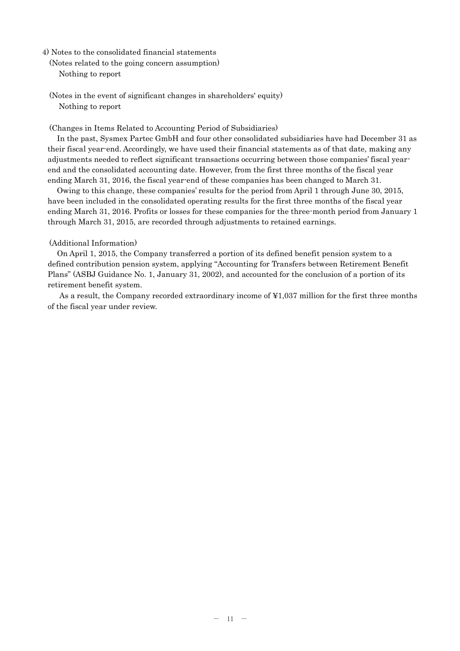### 4) Notes to the consolidated financial statements

- (Notes related to the going concern assumption) Nothing to report
- (Notes in the event of significant changes in shareholders' equity) Nothing to report

(Changes in Items Related to Accounting Period of Subsidiaries)

In the past, Sysmex Partec GmbH and four other consolidated subsidiaries have had December 31 as their fiscal year-end. Accordingly, we have used their financial statements as of that date, making any adjustments needed to reflect significant transactions occurring between those companies' fiscal yearend and the consolidated accounting date. However, from the first three months of the fiscal year ending March 31, 2016, the fiscal year-end of these companies has been changed to March 31.

Owing to this change, these companies' results for the period from April 1 through June 30, 2015, have been included in the consolidated operating results for the first three months of the fiscal year ending March 31, 2016. Profits or losses for these companies for the three-month period from January 1 through March 31, 2015, are recorded through adjustments to retained earnings.

#### (Additional Information)

On April 1, 2015, the Company transferred a portion of its defined benefit pension system to a defined contribution pension system, applying "Accounting for Transfers between Retirement Benefit Plans" (ASBJ Guidance No. 1, January 31, 2002), and accounted for the conclusion of a portion of its retirement benefit system.

As a result, the Company recorded extraordinary income of ¥1,037 million for the first three months of the fiscal year under review.